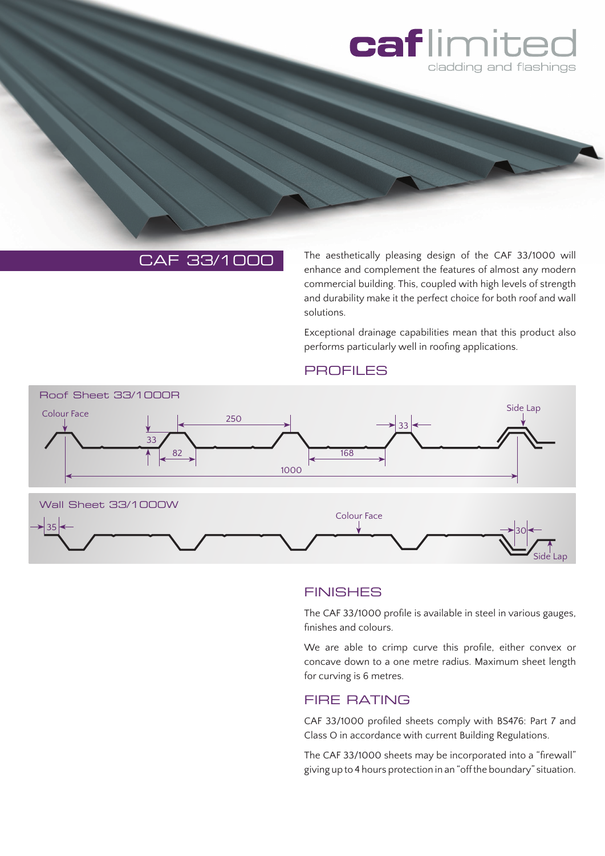

# CAF 33/1000

The aesthetically pleasing design of the CAF 33/1000 will enhance and complement the features of almost any modern commercial building. This, coupled with high levels of strength and durability make it the perfect choice for both roof and wall solutions.

Exceptional drainage capabilities mean that this product also performs particularly well in roofing applications.

#### **PROFILES**



### **FINISHES**

The CAF 33/1000 profile is available in steel in various gauges, finishes and colours.

We are able to crimp curve this profile, either convex or concave down to a one metre radius. Maximum sheet length for curving is 6 metres.

### FIRE RATING

CAF 33/1000 profiled sheets comply with BS476: Part 7 and Class O in accordance with current Building Regulations.

The CAF 33/1000 sheets may be incorporated into a "firewall" giving up to 4 hours protection in an "off the boundary" situation.